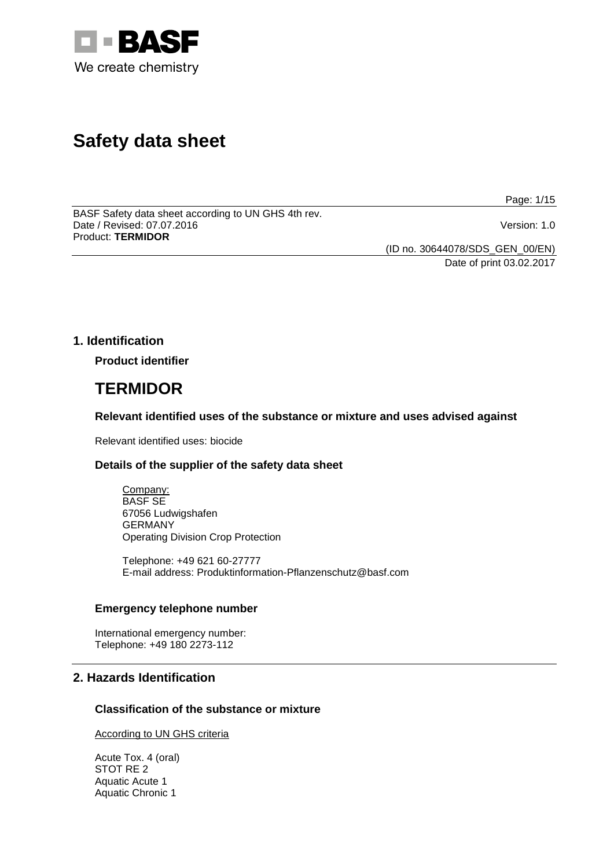

# **Safety data sheet**

Page: 1/15

BASF Safety data sheet according to UN GHS 4th rev. Date / Revised: 07.07.2016 Version: 1.0 Product: **TERMIDOR**

(ID no. 30644078/SDS\_GEN\_00/EN)

Date of print 03.02.2017

# **1. Identification**

**Product identifier**

# **TERMIDOR**

**Relevant identified uses of the substance or mixture and uses advised against**

Relevant identified uses: biocide

# **Details of the supplier of the safety data sheet**

Company: BASF SE 67056 Ludwigshafen GERMANY Operating Division Crop Protection

Telephone: +49 621 60-27777 E-mail address: Produktinformation-Pflanzenschutz@basf.com

# **Emergency telephone number**

International emergency number: Telephone: +49 180 2273-112

# **2. Hazards Identification**

# **Classification of the substance or mixture**

According to UN GHS criteria

Acute Tox. 4 (oral) STOT RE 2 Aquatic Acute 1 Aquatic Chronic 1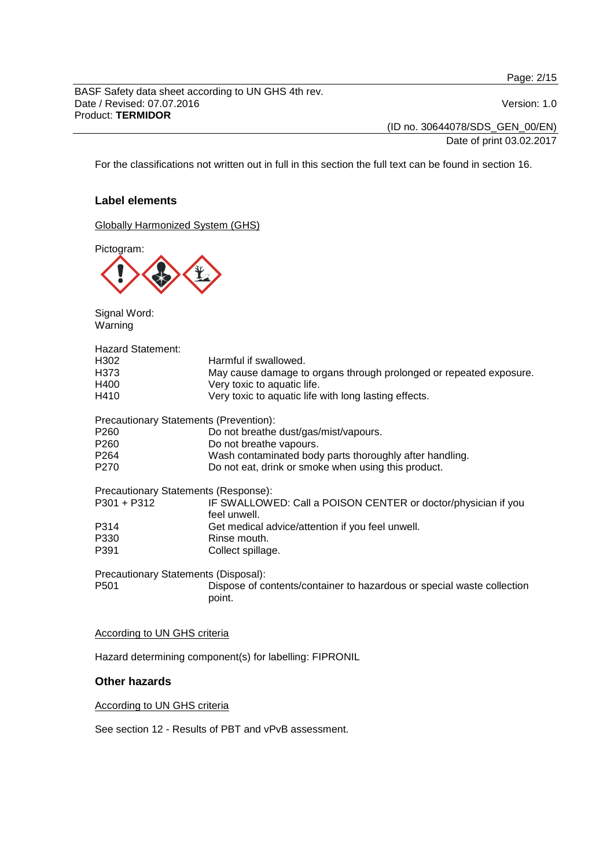Page: 2/15

BASF Safety data sheet according to UN GHS 4th rev. Date / Revised: 07.07.2016 Version: 1.0 Product: **TERMIDOR**

(ID no. 30644078/SDS\_GEN\_00/EN)

Date of print 03.02.2017

For the classifications not written out in full in this section the full text can be found in section 16.

# **Label elements**

Globally Harmonized System (GHS)

Pictogram:



Signal Word: Warning

| <b>Hazard Statement:</b>               |                                                                                  |
|----------------------------------------|----------------------------------------------------------------------------------|
| H302                                   | Harmful if swallowed.                                                            |
| H373                                   | May cause damage to organs through prolonged or repeated exposure.               |
| H400                                   | Very toxic to aquatic life.                                                      |
| H410                                   | Very toxic to aquatic life with long lasting effects.                            |
| Precautionary Statements (Prevention): |                                                                                  |
| P <sub>260</sub>                       | Do not breathe dust/gas/mist/vapours.                                            |
| P <sub>260</sub>                       | Do not breathe vapours.                                                          |
| P <sub>264</sub>                       | Wash contaminated body parts thoroughly after handling.                          |
| P270                                   | Do not eat, drink or smoke when using this product.                              |
| Precautionary Statements (Response):   |                                                                                  |
| P301 + P312                            | IF SWALLOWED: Call a POISON CENTER or doctor/physician if you<br>feel unwell.    |
| P314                                   | Get medical advice/attention if you feel unwell.                                 |
| P330                                   | Rinse mouth.                                                                     |
| P391                                   | Collect spillage.                                                                |
| Precautionary Statements (Disposal):   |                                                                                  |
| P <sub>501</sub>                       | Dispose of contents/container to hazardous or special waste collection<br>point. |

#### According to UN GHS criteria

Hazard determining component(s) for labelling: FIPRONIL

# **Other hazards**

According to UN GHS criteria

See section 12 - Results of PBT and vPvB assessment.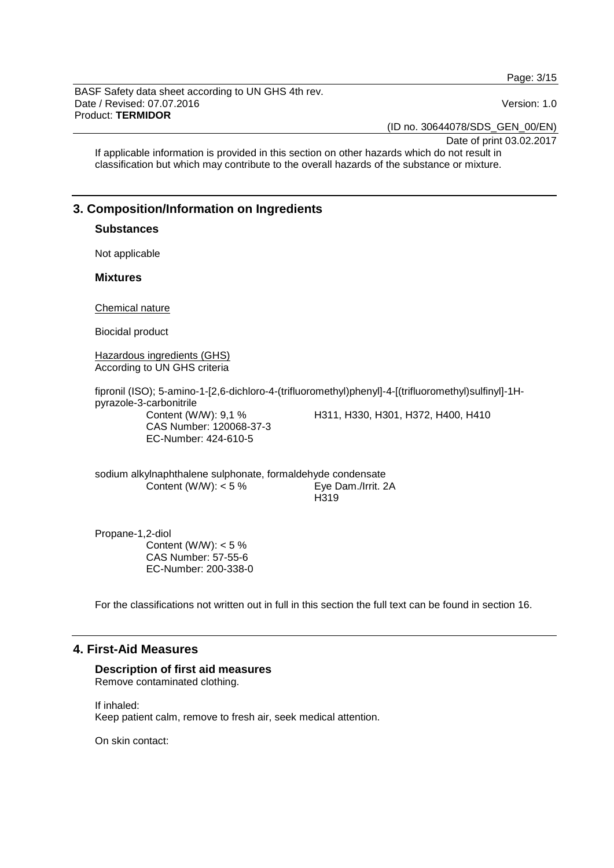Page: 3/15

BASF Safety data sheet according to UN GHS 4th rev. Date / Revised: 07.07.2016 Version: 1.0 Product: **TERMIDOR**

(ID no. 30644078/SDS\_GEN\_00/EN)

Date of print 03.02.2017

If applicable information is provided in this section on other hazards which do not result in classification but which may contribute to the overall hazards of the substance or mixture.

# **3. Composition/Information on Ingredients**

# **Substances**

Not applicable

#### **Mixtures**

Chemical nature

Biocidal product

Hazardous ingredients (GHS) According to UN GHS criteria

fipronil (ISO); 5-amino-1-[2,6-dichloro-4-(trifluoromethyl)phenyl]-4-[(trifluoromethyl)sulfinyl]-1Hpyrazole-3-carbonitrile Content (W/W): 9,1 % CAS Number: 120068-37-3 EC-Number: 424-610-5 H311, H330, H301, H372, H400, H410

sodium alkylnaphthalene sulphonate, formaldehyde condensate Content (W/W): < 5 % Eye Dam./Irrit. 2A H319

Propane-1,2-diol Content (W/W):  $< 5 \%$ CAS Number: 57-55-6 EC-Number: 200-338-0

For the classifications not written out in full in this section the full text can be found in section 16.

# **4. First-Aid Measures**

# **Description of first aid measures**

Remove contaminated clothing.

If inhaled: Keep patient calm, remove to fresh air, seek medical attention.

On skin contact: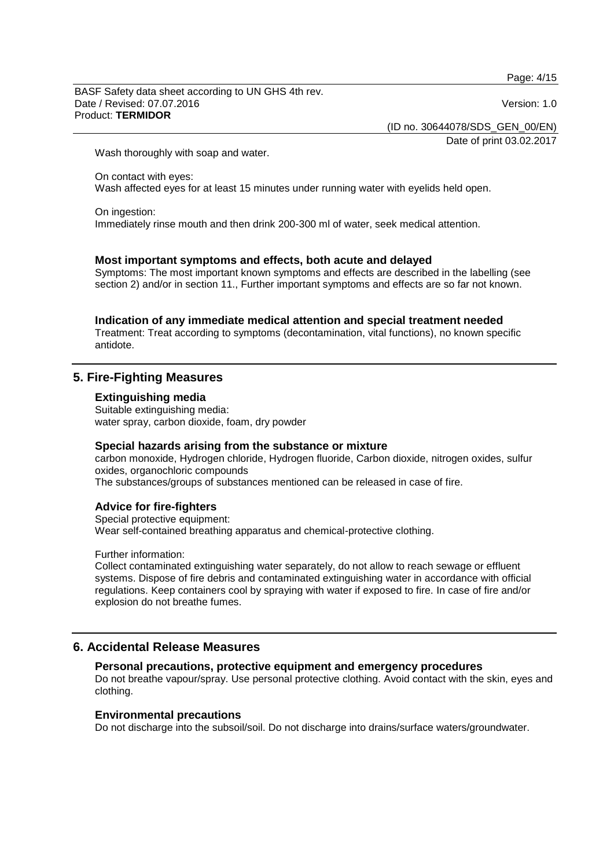Page: 4/15

BASF Safety data sheet according to UN GHS 4th rev. Date / Revised: 07.07.2016 Version: 1.0 Product: **TERMIDOR**

(ID no. 30644078/SDS\_GEN\_00/EN)

Date of print 03.02.2017

Wash thoroughly with soap and water.

On contact with eyes: Wash affected eyes for at least 15 minutes under running water with eyelids held open.

# On ingestion:

Immediately rinse mouth and then drink 200-300 ml of water, seek medical attention.

# **Most important symptoms and effects, both acute and delayed**

Symptoms: The most important known symptoms and effects are described in the labelling (see section 2) and/or in section 11., Further important symptoms and effects are so far not known.

#### **Indication of any immediate medical attention and special treatment needed**

Treatment: Treat according to symptoms (decontamination, vital functions), no known specific antidote.

# **5. Fire-Fighting Measures**

#### **Extinguishing media**

Suitable extinguishing media: water spray, carbon dioxide, foam, dry powder

# **Special hazards arising from the substance or mixture**

carbon monoxide, Hydrogen chloride, Hydrogen fluoride, Carbon dioxide, nitrogen oxides, sulfur oxides, organochloric compounds

The substances/groups of substances mentioned can be released in case of fire.

# **Advice for fire-fighters**

Special protective equipment: Wear self-contained breathing apparatus and chemical-protective clothing.

Further information:

Collect contaminated extinguishing water separately, do not allow to reach sewage or effluent systems. Dispose of fire debris and contaminated extinguishing water in accordance with official regulations. Keep containers cool by spraying with water if exposed to fire. In case of fire and/or explosion do not breathe fumes.

# **6. Accidental Release Measures**

# **Personal precautions, protective equipment and emergency procedures**

Do not breathe vapour/spray. Use personal protective clothing. Avoid contact with the skin, eyes and clothing.

# **Environmental precautions**

Do not discharge into the subsoil/soil. Do not discharge into drains/surface waters/groundwater.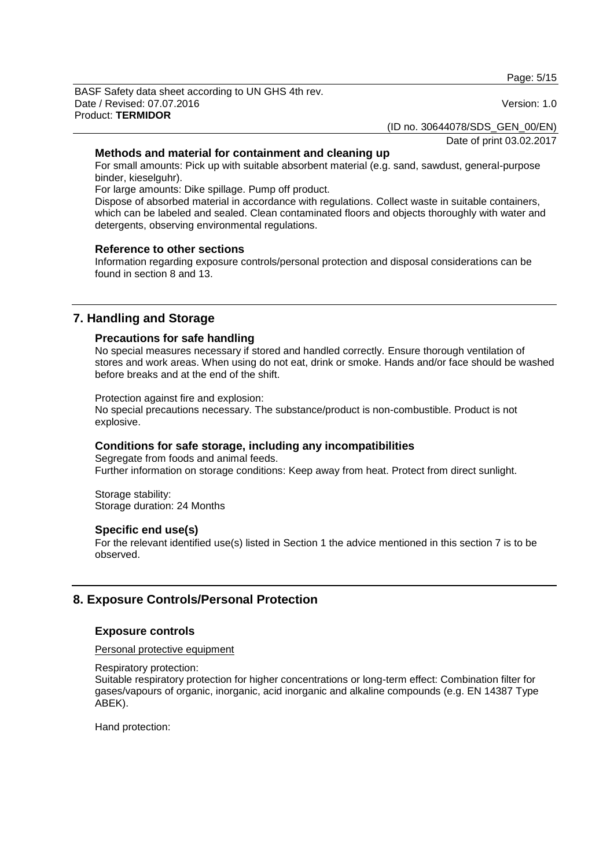Page: 5/15

BASF Safety data sheet according to UN GHS 4th rev. Date / Revised: 07.07.2016 Version: 1.0 Product: **TERMIDOR**

(ID no. 30644078/SDS\_GEN\_00/EN)

Date of print 03.02.2017

# **Methods and material for containment and cleaning up**

For small amounts: Pick up with suitable absorbent material (e.g. sand, sawdust, general-purpose binder, kieselguhr).

For large amounts: Dike spillage. Pump off product.

Dispose of absorbed material in accordance with regulations. Collect waste in suitable containers, which can be labeled and sealed. Clean contaminated floors and objects thoroughly with water and detergents, observing environmental regulations.

# **Reference to other sections**

Information regarding exposure controls/personal protection and disposal considerations can be found in section 8 and 13.

# **7. Handling and Storage**

### **Precautions for safe handling**

No special measures necessary if stored and handled correctly. Ensure thorough ventilation of stores and work areas. When using do not eat, drink or smoke. Hands and/or face should be washed before breaks and at the end of the shift.

Protection against fire and explosion:

No special precautions necessary. The substance/product is non-combustible. Product is not explosive.

# **Conditions for safe storage, including any incompatibilities**

Segregate from foods and animal feeds. Further information on storage conditions: Keep away from heat. Protect from direct sunlight.

Storage stability: Storage duration: 24 Months

# **Specific end use(s)**

For the relevant identified use(s) listed in Section 1 the advice mentioned in this section 7 is to be observed.

# **8. Exposure Controls/Personal Protection**

# **Exposure controls**

Personal protective equipment

Respiratory protection:

Suitable respiratory protection for higher concentrations or long-term effect: Combination filter for gases/vapours of organic, inorganic, acid inorganic and alkaline compounds (e.g. EN 14387 Type ABEK).

Hand protection: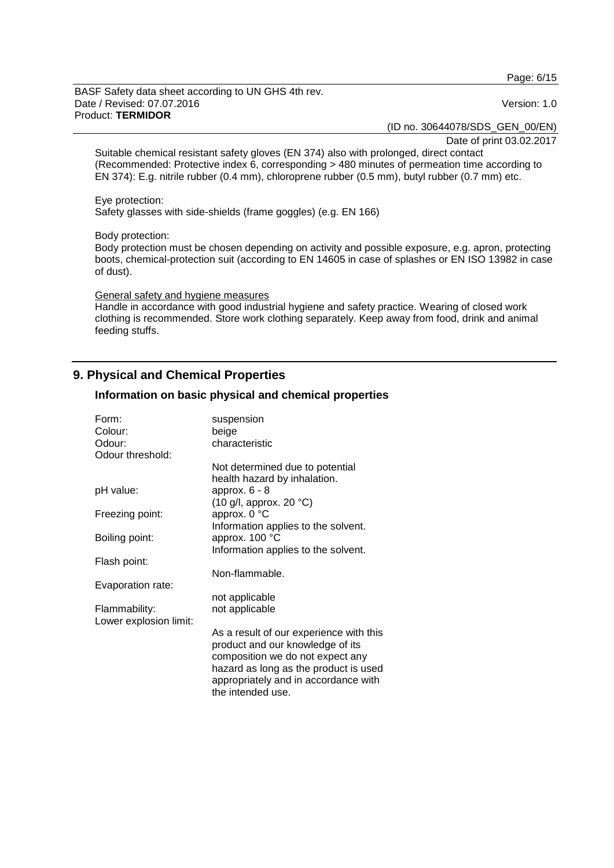Page: 6/15

BASF Safety data sheet according to UN GHS 4th rev. Date / Revised: 07.07.2016 Version: 1.0 Product: **TERMIDOR**

(ID no. 30644078/SDS\_GEN\_00/EN)

Date of print 03.02.2017

Suitable chemical resistant safety gloves (EN 374) also with prolonged, direct contact (Recommended: Protective index 6, corresponding > 480 minutes of permeation time according to EN 374): E.g. nitrile rubber (0.4 mm), chloroprene rubber (0.5 mm), butyl rubber (0.7 mm) etc.

#### Eye protection:

Safety glasses with side-shields (frame goggles) (e.g. EN 166)

#### Body protection:

Body protection must be chosen depending on activity and possible exposure, e.g. apron, protecting boots, chemical-protection suit (according to EN 14605 in case of splashes or EN ISO 13982 in case of dust).

#### General safety and hygiene measures

Handle in accordance with good industrial hygiene and safety practice. Wearing of closed work clothing is recommended. Store work clothing separately. Keep away from food, drink and animal feeding stuffs.

# **9. Physical and Chemical Properties**

### **Information on basic physical and chemical properties**

| characteristic                                                                                                                                                                                                        |
|-----------------------------------------------------------------------------------------------------------------------------------------------------------------------------------------------------------------------|
|                                                                                                                                                                                                                       |
|                                                                                                                                                                                                                       |
| Not determined due to potential                                                                                                                                                                                       |
| health hazard by inhalation.<br>approx. $6 - 8$                                                                                                                                                                       |
| $(10 \text{ g/l}, \text{approx. } 20 \text{ °C})$                                                                                                                                                                     |
| approx. 0 °C                                                                                                                                                                                                          |
| Information applies to the solvent.                                                                                                                                                                                   |
| approx. 100 °C                                                                                                                                                                                                        |
| Information applies to the solvent.                                                                                                                                                                                   |
|                                                                                                                                                                                                                       |
| Non-flammable.                                                                                                                                                                                                        |
| not applicable                                                                                                                                                                                                        |
| not applicable                                                                                                                                                                                                        |
|                                                                                                                                                                                                                       |
| As a result of our experience with this<br>product and our knowledge of its<br>composition we do not expect any<br>hazard as long as the product is used<br>appropriately and in accordance with<br>the intended use. |
|                                                                                                                                                                                                                       |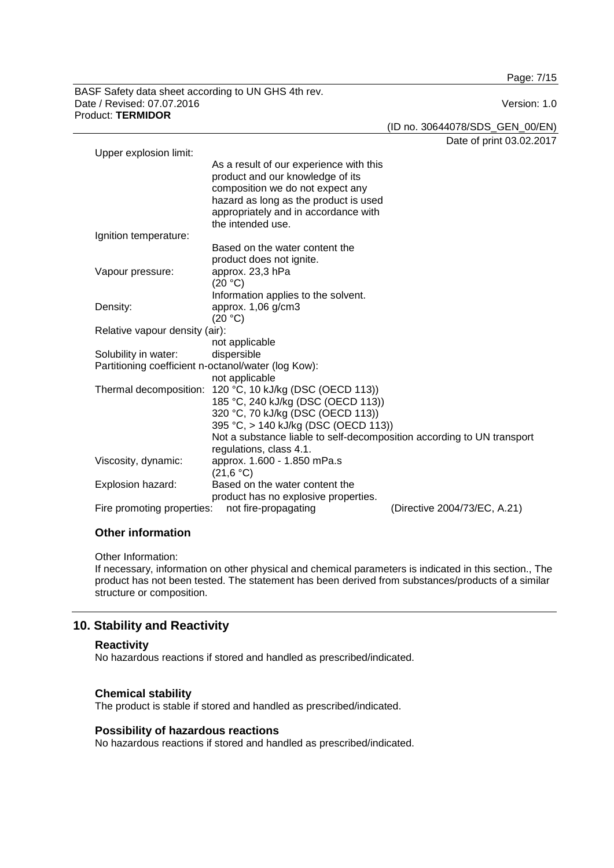Page: 7/15

BASF Safety data sheet according to UN GHS 4th rev. Date / Revised: 07.07.2016 Version: 1.0 Product: **TERMIDOR**

(ID no. 30644078/SDS\_GEN\_00/EN)

Date of print 03.02.2017

| Upper explosion limit:                                                             |                                                                        |  |
|------------------------------------------------------------------------------------|------------------------------------------------------------------------|--|
|                                                                                    | As a result of our experience with this                                |  |
|                                                                                    | product and our knowledge of its                                       |  |
|                                                                                    | composition we do not expect any                                       |  |
|                                                                                    | hazard as long as the product is used                                  |  |
|                                                                                    | appropriately and in accordance with                                   |  |
|                                                                                    | the intended use.                                                      |  |
| Ignition temperature:                                                              |                                                                        |  |
|                                                                                    | Based on the water content the                                         |  |
|                                                                                    | product does not ignite.                                               |  |
| Vapour pressure:                                                                   | approx. 23,3 hPa                                                       |  |
|                                                                                    | (20 °C)                                                                |  |
|                                                                                    | Information applies to the solvent.                                    |  |
| Density:                                                                           | approx. $1,06$ g/cm $3$                                                |  |
|                                                                                    | (20 °C)                                                                |  |
| Relative vapour density (air):                                                     |                                                                        |  |
|                                                                                    | not applicable                                                         |  |
| Solubility in water:                                                               | dispersible                                                            |  |
| Partitioning coefficient n-octanol/water (log Kow):                                |                                                                        |  |
|                                                                                    | not applicable                                                         |  |
| Thermal decomposition:                                                             | 120 °C, 10 kJ/kg (DSC (OECD 113))                                      |  |
|                                                                                    | 185 °C, 240 kJ/kg (DSC (OECD 113))                                     |  |
|                                                                                    | 320 °C, 70 kJ/kg (DSC (OECD 113))                                      |  |
|                                                                                    | 395 °C, > 140 kJ/kg (DSC (OECD 113))                                   |  |
|                                                                                    | Not a substance liable to self-decomposition according to UN transport |  |
|                                                                                    | regulations, class 4.1.                                                |  |
| Viscosity, dynamic:                                                                | approx. 1.600 - 1.850 mPa.s                                            |  |
|                                                                                    | (21,6 °C)                                                              |  |
| Explosion hazard:                                                                  | Based on the water content the                                         |  |
|                                                                                    | product has no explosive properties.                                   |  |
| (Directive 2004/73/EC, A.21)<br>Fire promoting properties:<br>not fire-propagating |                                                                        |  |

# **Other information**

Other Information:

If necessary, information on other physical and chemical parameters is indicated in this section., The product has not been tested. The statement has been derived from substances/products of a similar structure or composition.

# **10. Stability and Reactivity**

#### **Reactivity**

No hazardous reactions if stored and handled as prescribed/indicated.

# **Chemical stability**

The product is stable if stored and handled as prescribed/indicated.

# **Possibility of hazardous reactions**

No hazardous reactions if stored and handled as prescribed/indicated.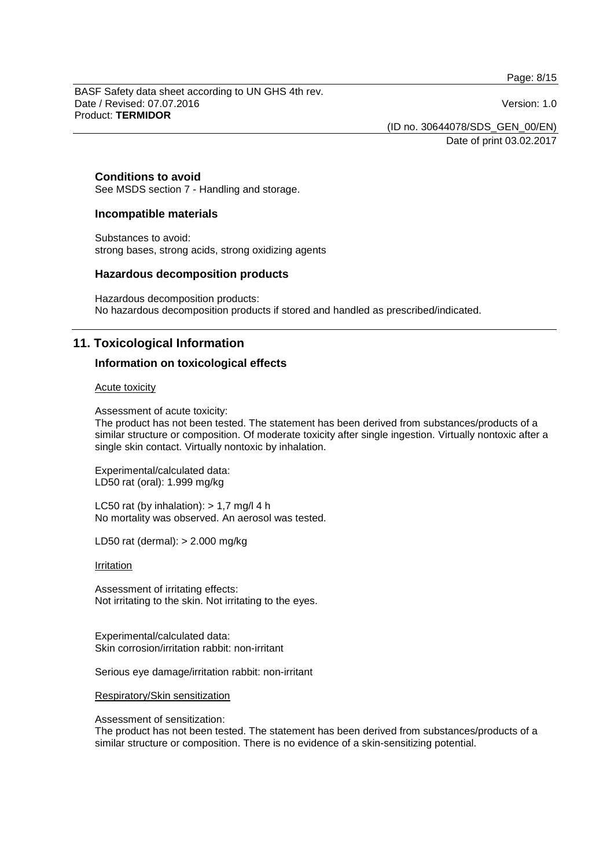Page: 8/15

BASF Safety data sheet according to UN GHS 4th rev. Date / Revised: 07.07.2016 Version: 1.0 Product: **TERMIDOR**

(ID no. 30644078/SDS\_GEN\_00/EN)

Date of print 03.02.2017

#### **Conditions to avoid**

See MSDS section 7 - Handling and storage.

#### **Incompatible materials**

Substances to avoid: strong bases, strong acids, strong oxidizing agents

#### **Hazardous decomposition products**

Hazardous decomposition products: No hazardous decomposition products if stored and handled as prescribed/indicated.

# **11. Toxicological Information**

### **Information on toxicological effects**

#### Acute toxicity

Assessment of acute toxicity:

The product has not been tested. The statement has been derived from substances/products of a similar structure or composition. Of moderate toxicity after single ingestion. Virtually nontoxic after a single skin contact. Virtually nontoxic by inhalation.

Experimental/calculated data: LD50 rat (oral): 1.999 mg/kg

LC50 rat (by inhalation):  $> 1.7$  mg/l 4 h No mortality was observed. An aerosol was tested.

LD50 rat (dermal): > 2.000 mg/kg

#### **Irritation**

Assessment of irritating effects: Not irritating to the skin. Not irritating to the eyes.

Experimental/calculated data: Skin corrosion/irritation rabbit: non-irritant

Serious eye damage/irritation rabbit: non-irritant

Respiratory/Skin sensitization

Assessment of sensitization:

The product has not been tested. The statement has been derived from substances/products of a similar structure or composition. There is no evidence of a skin-sensitizing potential.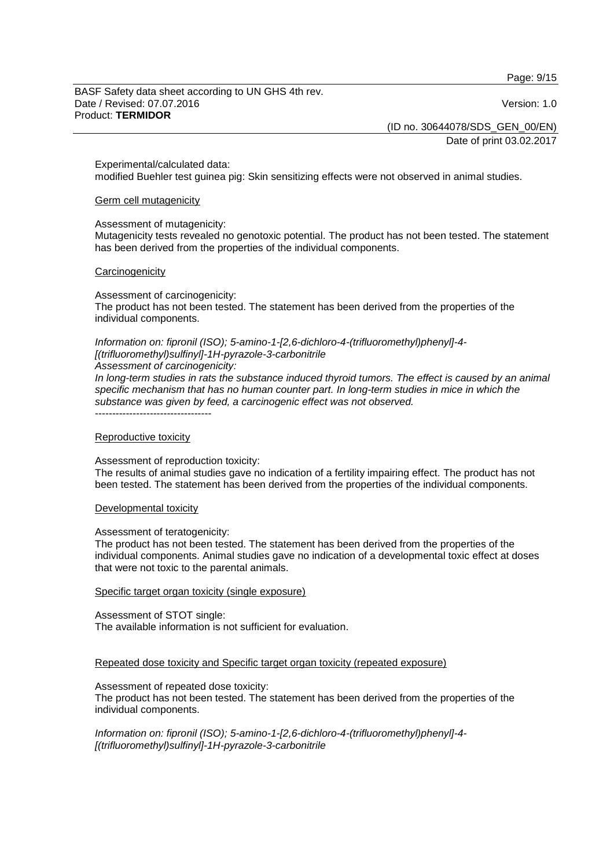Page: 9/15

BASF Safety data sheet according to UN GHS 4th rev. Date / Revised: 07.07.2016 Version: 1.0 Product: **TERMIDOR**

(ID no. 30644078/SDS\_GEN\_00/EN)

Date of print 03.02.2017

Experimental/calculated data:

modified Buehler test guinea pig: Skin sensitizing effects were not observed in animal studies.

#### Germ cell mutagenicity

Assessment of mutagenicity:

Mutagenicity tests revealed no genotoxic potential. The product has not been tested. The statement has been derived from the properties of the individual components.

#### **Carcinogenicity**

Assessment of carcinogenicity: The product has not been tested. The statement has been derived from the properties of the individual components.

*Information on: fipronil (ISO); 5-amino-1-[2,6-dichloro-4-(trifluoromethyl)phenyl]-4- [(trifluoromethyl)sulfinyl]-1H-pyrazole-3-carbonitrile*

*Assessment of carcinogenicity:*

*In long-term studies in rats the substance induced thyroid tumors. The effect is caused by an animal specific mechanism that has no human counter part. In long-term studies in mice in which the substance was given by feed, a carcinogenic effect was not observed.* ----------------------------------

#### Reproductive toxicity

Assessment of reproduction toxicity:

The results of animal studies gave no indication of a fertility impairing effect. The product has not been tested. The statement has been derived from the properties of the individual components.

#### Developmental toxicity

#### Assessment of teratogenicity:

The product has not been tested. The statement has been derived from the properties of the individual components. Animal studies gave no indication of a developmental toxic effect at doses that were not toxic to the parental animals.

#### Specific target organ toxicity (single exposure)

Assessment of STOT single: The available information is not sufficient for evaluation.

Repeated dose toxicity and Specific target organ toxicity (repeated exposure)

Assessment of repeated dose toxicity:

The product has not been tested. The statement has been derived from the properties of the individual components.

*Information on: fipronil (ISO); 5-amino-1-[2,6-dichloro-4-(trifluoromethyl)phenyl]-4- [(trifluoromethyl)sulfinyl]-1H-pyrazole-3-carbonitrile*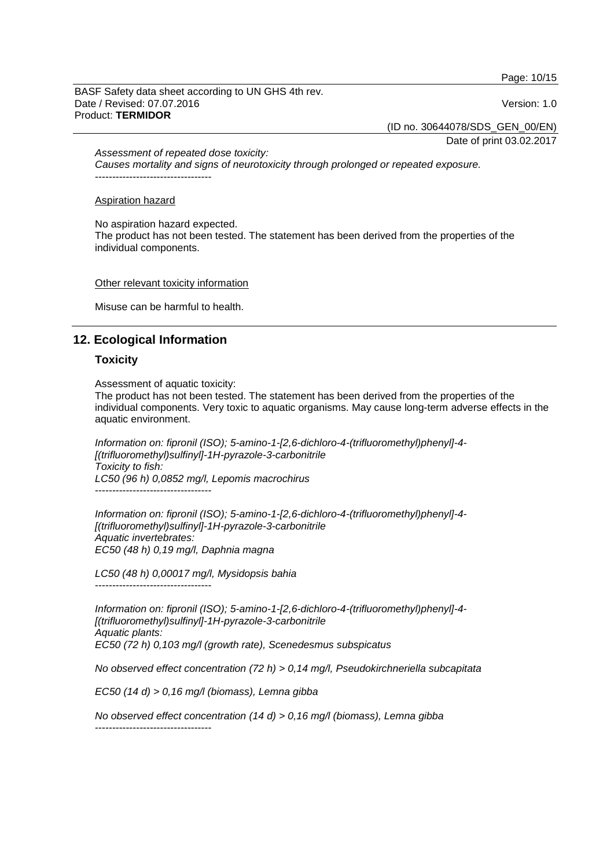Page: 10/15

BASF Safety data sheet according to UN GHS 4th rev. Date / Revised: 07.07.2016 Version: 1.0 Product: **TERMIDOR**

(ID no. 30644078/SDS\_GEN\_00/EN)

Date of print 03.02.2017

*Assessment of repeated dose toxicity:*

*Causes mortality and signs of neurotoxicity through prolonged or repeated exposure.* ----------------------------------

#### Aspiration hazard

No aspiration hazard expected. The product has not been tested. The statement has been derived from the properties of the individual components.

Other relevant toxicity information

Misuse can be harmful to health.

# **12. Ecological Information**

#### **Toxicity**

Assessment of aquatic toxicity:

The product has not been tested. The statement has been derived from the properties of the individual components. Very toxic to aquatic organisms. May cause long-term adverse effects in the aquatic environment.

*Information on: fipronil (ISO); 5-amino-1-[2,6-dichloro-4-(trifluoromethyl)phenyl]-4- [(trifluoromethyl)sulfinyl]-1H-pyrazole-3-carbonitrile Toxicity to fish: LC50 (96 h) 0,0852 mg/l, Lepomis macrochirus* ----------------------------------

*Information on: fipronil (ISO); 5-amino-1-[2,6-dichloro-4-(trifluoromethyl)phenyl]-4- [(trifluoromethyl)sulfinyl]-1H-pyrazole-3-carbonitrile Aquatic invertebrates: EC50 (48 h) 0,19 mg/l, Daphnia magna*

*LC50 (48 h) 0,00017 mg/l, Mysidopsis bahia* ----------------------------------

*Information on: fipronil (ISO); 5-amino-1-[2,6-dichloro-4-(trifluoromethyl)phenyl]-4- [(trifluoromethyl)sulfinyl]-1H-pyrazole-3-carbonitrile Aquatic plants: EC50 (72 h) 0,103 mg/l (growth rate), Scenedesmus subspicatus*

*No observed effect concentration (72 h) > 0,14 mg/l, Pseudokirchneriella subcapitata*

*EC50 (14 d) > 0,16 mg/l (biomass), Lemna gibba*

*No observed effect concentration (14 d) > 0,16 mg/l (biomass), Lemna gibba* ----------------------------------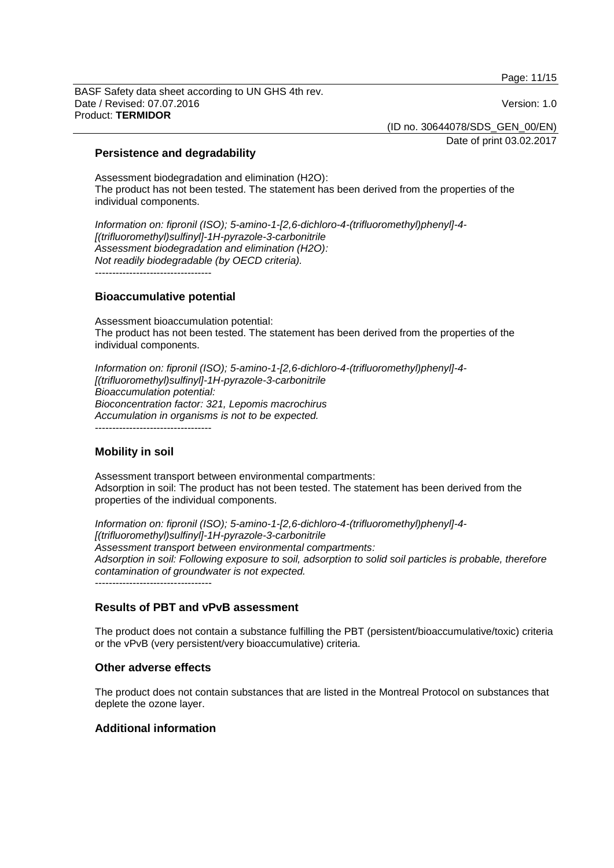Page: 11/15

BASF Safety data sheet according to UN GHS 4th rev. Date / Revised: 07.07.2016 **Version: 1.0** Product: **TERMIDOR**

(ID no. 30644078/SDS\_GEN\_00/EN)

Date of print 03.02.2017

# **Persistence and degradability**

Assessment biodegradation and elimination (H2O): The product has not been tested. The statement has been derived from the properties of the individual components.

*Information on: fipronil (ISO); 5-amino-1-[2,6-dichloro-4-(trifluoromethyl)phenyl]-4- [(trifluoromethyl)sulfinyl]-1H-pyrazole-3-carbonitrile Assessment biodegradation and elimination (H2O): Not readily biodegradable (by OECD criteria).* ----------------------------------

### **Bioaccumulative potential**

Assessment bioaccumulation potential: The product has not been tested. The statement has been derived from the properties of the individual components.

*Information on: fipronil (ISO); 5-amino-1-[2,6-dichloro-4-(trifluoromethyl)phenyl]-4- [(trifluoromethyl)sulfinyl]-1H-pyrazole-3-carbonitrile Bioaccumulation potential: Bioconcentration factor: 321, Lepomis macrochirus Accumulation in organisms is not to be expected.*

----------------------------------

# **Mobility in soil**

Assessment transport between environmental compartments: Adsorption in soil: The product has not been tested. The statement has been derived from the properties of the individual components.

*Information on: fipronil (ISO); 5-amino-1-[2,6-dichloro-4-(trifluoromethyl)phenyl]-4- [(trifluoromethyl)sulfinyl]-1H-pyrazole-3-carbonitrile Assessment transport between environmental compartments: Adsorption in soil: Following exposure to soil, adsorption to solid soil particles is probable, therefore contamination of groundwater is not expected.*

----------------------------------

# **Results of PBT and vPvB assessment**

The product does not contain a substance fulfilling the PBT (persistent/bioaccumulative/toxic) criteria or the vPvB (very persistent/very bioaccumulative) criteria.

#### **Other adverse effects**

The product does not contain substances that are listed in the Montreal Protocol on substances that deplete the ozone layer.

# **Additional information**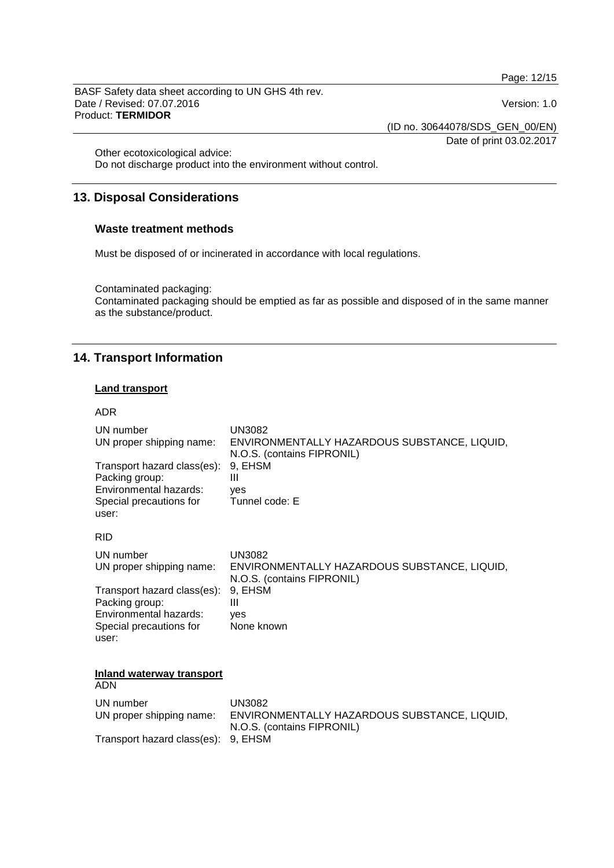Page: 12/15

BASF Safety data sheet according to UN GHS 4th rev. Date / Revised: 07.07.2016 Version: 1.0 Product: **TERMIDOR**

Date of print 03.02.2017

(ID no. 30644078/SDS\_GEN\_00/EN)

Other ecotoxicological advice:

Do not discharge product into the environment without control.

# **13. Disposal Considerations**

### **Waste treatment methods**

Must be disposed of or incinerated in accordance with local regulations.

Contaminated packaging:

Contaminated packaging should be emptied as far as possible and disposed of in the same manner as the substance/product.

# **14. Transport Information**

# **Land transport**

### ADR

| UN number                   | UN3082                                       |
|-----------------------------|----------------------------------------------|
| UN proper shipping name:    | ENVIRONMENTALLY HAZARDOUS SUBSTANCE, LIQUID, |
| Transport hazard class(es): | N.O.S. (contains FIPRONIL)                   |
| Packing group:              | 9. EHSM                                      |
| Environmental hazards:      | Ш                                            |
| Special precautions for     | yes                                          |
| user:                       | Tunnel code: E                               |
| <b>RID</b>                  |                                              |
| UN number                   | UN3082                                       |
| UN proper shipping name:    | ENVIRONMENTALLY HAZARDOUS SUBSTANCE, LIQUID, |
| Transport hazard class(es): | N.O.S. (contains FIPRONIL)                   |
| Packing group:              | 9, EHSM                                      |
| Environmental hazards:      | Ш                                            |
| Special precautions for     | yes                                          |
| user:                       | None known                                   |

**Inland waterway transport**

ADN UN number UN3082<br>UN proper shipping name: ENVIRO ENVIRONMENTALLY HAZARDOUS SUBSTANCE, LIQUID, N.O.S. (contains FIPRONIL) Transport hazard class(es): 9, EHSM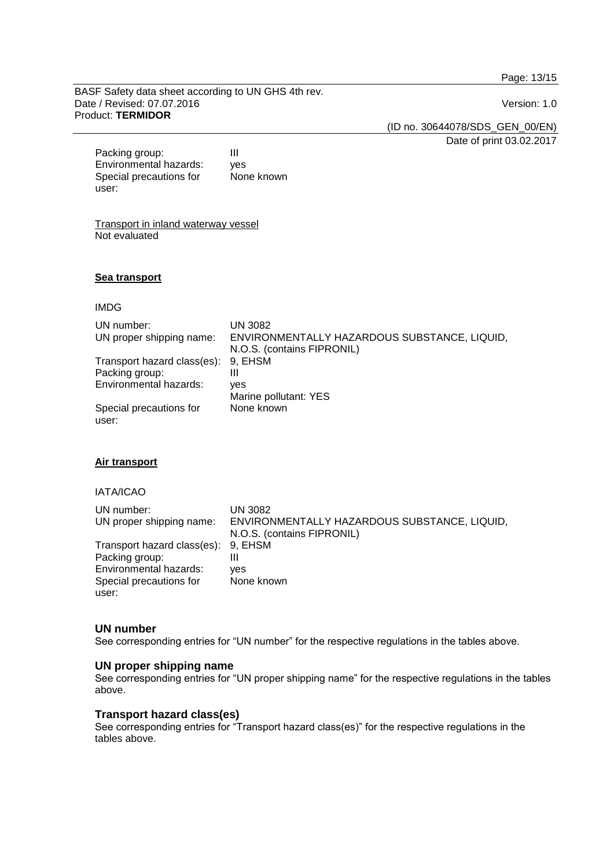Page: 13/15

BASF Safety data sheet according to UN GHS 4th rev. Date / Revised: 07.07.2016 Version: 1.0 Product: **TERMIDOR**

(ID no. 30644078/SDS\_GEN\_00/EN)

Date of print 03.02.2017

Packing group: III Environmental hazards: yes Special precautions for user: None known

Transport in inland waterway vessel Not evaluated

#### **Sea transport**

IMDG

| UN number:                          | UN 3082                                      |
|-------------------------------------|----------------------------------------------|
| UN proper shipping name:            | ENVIRONMENTALLY HAZARDOUS SUBSTANCE, LIQUID, |
|                                     | N.O.S. (contains FIPRONIL)                   |
| Transport hazard class(es): 9, EHSM |                                              |
| Packing group:                      | Ш                                            |
| Environmental hazards:              | ves                                          |
|                                     | Marine pollutant: YES                        |
| Special precautions for             | None known                                   |
| user:                               |                                              |

# **Air transport**

IATA/ICAO

| UN number:<br>UN proper shipping name: | UN 3082<br>ENVIRONMENTALLY HAZARDOUS SUBSTANCE, LIQUID,<br>N.O.S. (contains FIPRONIL) |
|----------------------------------------|---------------------------------------------------------------------------------------|
| Transport hazard class(es): 9, EHSM    |                                                                                       |
| Packing group:                         | Ш                                                                                     |
| Environmental hazards:                 | ves                                                                                   |
| Special precautions for                | None known                                                                            |
| user:                                  |                                                                                       |

# **UN number**

See corresponding entries for "UN number" for the respective regulations in the tables above.

### **UN proper shipping name**

See corresponding entries for "UN proper shipping name" for the respective regulations in the tables above.

#### **Transport hazard class(es)**

See corresponding entries for "Transport hazard class(es)" for the respective regulations in the tables above.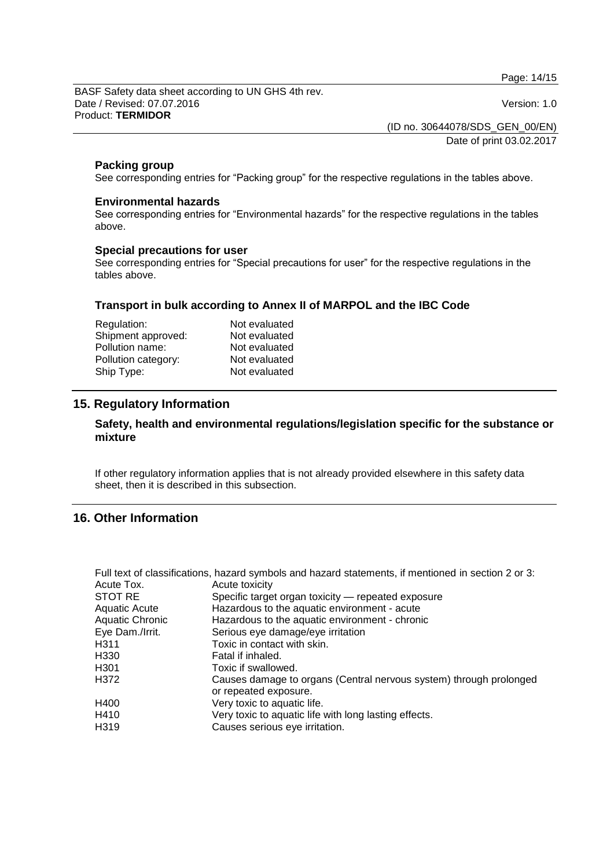Page: 14/15

BASF Safety data sheet according to UN GHS 4th rev. Date / Revised: 07.07.2016 Version: 1.0 Product: **TERMIDOR**

(ID no. 30644078/SDS\_GEN\_00/EN)

Date of print 03.02.2017

# **Packing group**

See corresponding entries for "Packing group" for the respective regulations in the tables above.

### **Environmental hazards**

See corresponding entries for "Environmental hazards" for the respective regulations in the tables above.

### **Special precautions for user**

See corresponding entries for "Special precautions for user" for the respective regulations in the tables above.

# **Transport in bulk according to Annex II of MARPOL and the IBC Code**

| Not evaluated |
|---------------|
| Not evaluated |
| Not evaluated |
| Not evaluated |
| Not evaluated |
|               |

# **15. Regulatory Information**

# **Safety, health and environmental regulations/legislation specific for the substance or mixture**

If other regulatory information applies that is not already provided elsewhere in this safety data sheet, then it is described in this subsection.

# **16. Other Information**

|                        | Full text of classifications, hazard symbols and hazard statements, if mentioned in section 2 or 3: |
|------------------------|-----------------------------------------------------------------------------------------------------|
| Acute Tox.             | Acute toxicity                                                                                      |
| STOT RE                | Specific target organ toxicity — repeated exposure                                                  |
| <b>Aquatic Acute</b>   | Hazardous to the aquatic environment - acute                                                        |
| <b>Aquatic Chronic</b> | Hazardous to the aquatic environment - chronic                                                      |
| Eye Dam./Irrit.        | Serious eye damage/eye irritation                                                                   |
| H311                   | Toxic in contact with skin.                                                                         |
| H330                   | Fatal if inhaled.                                                                                   |
| H <sub>301</sub>       | Toxic if swallowed.                                                                                 |
| H372                   | Causes damage to organs (Central nervous system) through prolonged<br>or repeated exposure.         |
| H400                   | Very toxic to aquatic life.                                                                         |
| H410                   | Very toxic to aquatic life with long lasting effects.                                               |
| H319                   | Causes serious eye irritation.                                                                      |